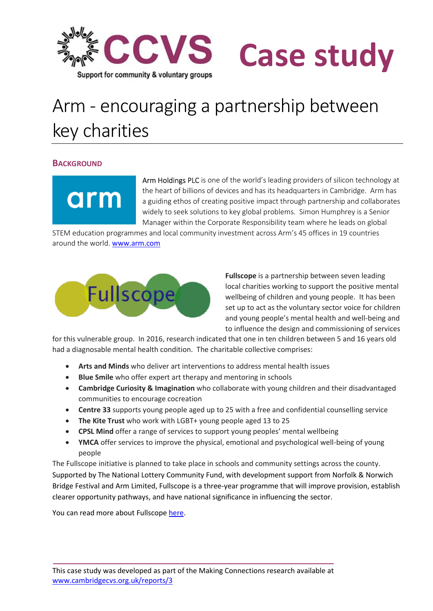

# Case study

## Arm - encouraging a partnership between key charities

### **BACKGROUND**

arm

Arm Holdings PLC is one of the world's leading providers of silicon technology at the heart of billions of devices and has its headquarters in Cambridge. Arm has a guiding ethos of creating positive impact through partnership and collaborates widely to seek solutions to key global problems. Simon Humphrey is a Senior Manager within the Corporate Responsibility team where he leads on global

STEM education programmes and local community investment across Arm's 45 offices in 19 countries around the world. www.arm.com



Fullscope is a partnership between seven leading local charities working to support the positive mental wellbeing of children and young people. It has been set up to act as the voluntary sector voice for children and young people's mental health and well-being and to influence the design and commissioning of services

for this vulnerable group. In 2016, research indicated that one in ten children between 5 and 16 years old had a diagnosable mental health condition. The charitable collective comprises:

- Arts and Minds who deliver art interventions to address mental health issues
- Blue Smile who offer expert art therapy and mentoring in schools
- Cambridge Curiosity & Imagination who collaborate with young children and their disadvantaged communities to encourage cocreation
- Centre 33 supports young people aged up to 25 with a free and confidential counselling service
- The Kite Trust who work with LGBT+ young people aged 13 to 25
- CPSL Mind offer a range of services to support young peoples' mental wellbeing
- YMCA offer services to improve the physical, emotional and psychological well-being of young people

The Fullscope initiative is planned to take place in schools and community settings across the county. Supported by The National Lottery Community Fund, with development support from Norfolk & Norwich Bridge Festival and Arm Limited, Fullscope is a three-year programme that will improve provision, establish clearer opportunity pathways, and have national significance in influencing the sector.

You can read more about Fullscope here.